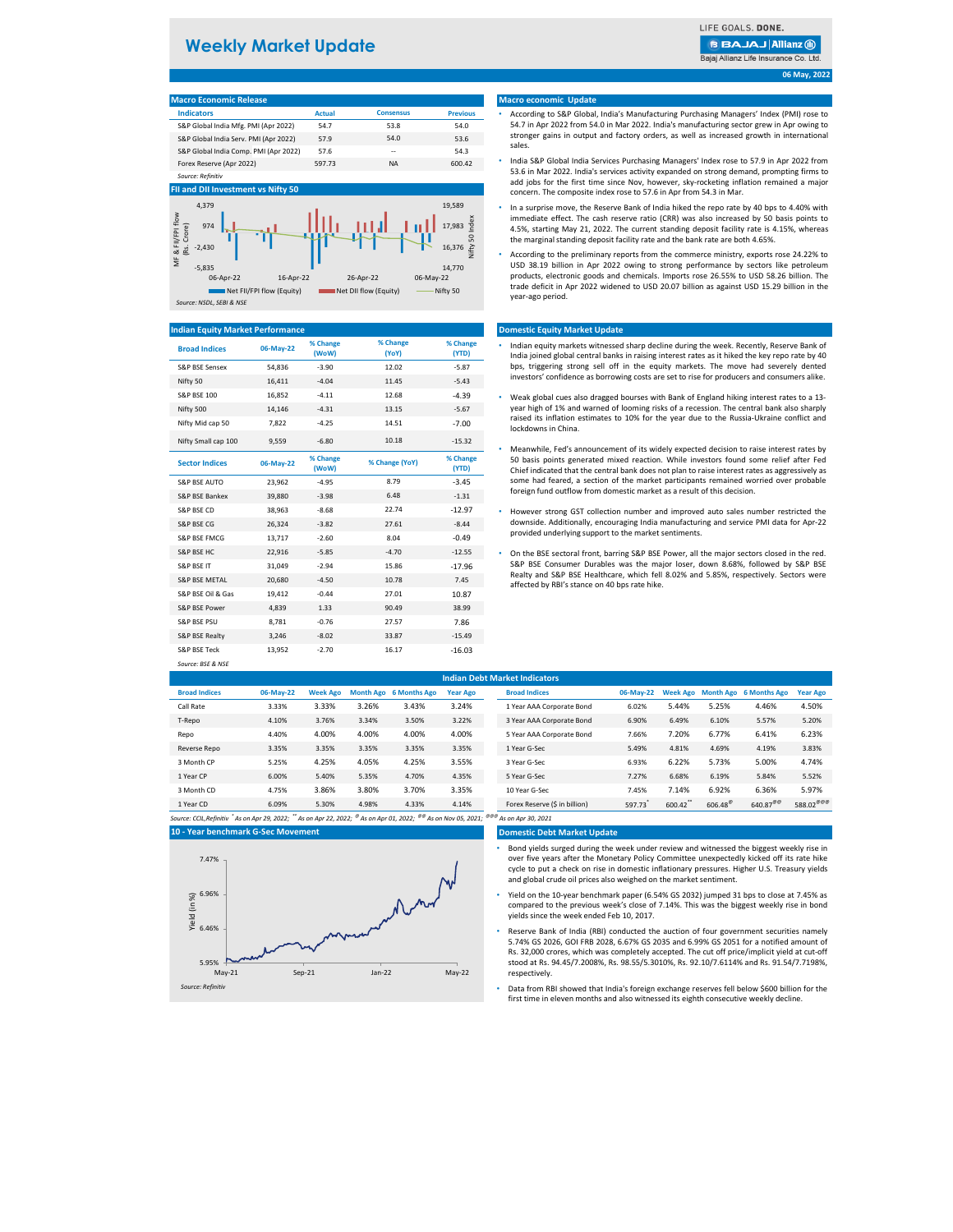| <b>Macro Economic Release</b>         |               |                  |                 |
|---------------------------------------|---------------|------------------|-----------------|
| <b>Indicators</b>                     | <b>Actual</b> | <b>Consensus</b> | <b>Previous</b> |
| S&P Global India Mfg. PMI (Apr 2022)  | 54.7          | 53.8             | 54.0            |
| S&P Global India Serv. PMI (Apr 2022) | 57.9          | 54.0             | 53.6            |
| S&P Global India Comp. PMI (Apr 2022) | 57.6          | --               | 54.3            |
| Forex Reserve (Apr 2022)              | 597.73        | <b>NA</b>        | 600.42          |
| Source: Refinitiv                     |               |                  |                 |



| <b>Broad Indices</b>     | 06-May-22 | % Change<br>(WoW) | % Change<br>(YoY) | % Change<br>(YTD) | Indian equity markets witnessed sharp decline during the week. Recently, Reserve<br>India joined global central banks in raising interest rates as it hiked the key repor |
|--------------------------|-----------|-------------------|-------------------|-------------------|---------------------------------------------------------------------------------------------------------------------------------------------------------------------------|
| S&P BSE Sensex           | 54,836    | $-3.90$           | 12.02             | $-5.87$           | bps, triggering strong sell off in the equity markets. The move had severely                                                                                              |
| Nifty 50                 | 16,411    | $-4.04$           | 11.45             | $-5.43$           | investors' confidence as borrowing costs are set to rise for producers and consum                                                                                         |
| <b>S&amp;P BSE 100</b>   | 16,852    | $-4.11$           | 12.68             | $-4.39$           | Weak global cues also dragged bourses with Bank of England hiking interest rates                                                                                          |
| Nifty 500                | 14,146    | $-4.31$           | 13.15             | $-5.67$           | year high of 1% and warned of looming risks of a recession. The central bank alse                                                                                         |
| Nifty Mid cap 50         | 7,822     | $-4.25$           | 14.51             | $-7.00$           | raised its inflation estimates to 10% for the year due to the Russia-Ukraine cor<br>lockdowns in China.                                                                   |
| Nifty Small cap 100      | 9,559     | $-6.80$           | 10.18             | $-15.32$          | Meanwhile, Fed's announcement of its widely expected decision to raise interest                                                                                           |
| <b>Sector Indices</b>    | 06-May-22 | % Change<br>(WoW) | % Change (YoY)    | % Change<br>(YTD) | 50 basis points generated mixed reaction. While investors found some relief a<br>Chief indicated that the central bank does not plan to raise interest rates as aggre     |
| <b>S&amp;P BSE AUTO</b>  | 23,962    | $-4.95$           | 8.79              | $-3.45$           | some had feared, a section of the market participants remained worried over                                                                                               |
| S&P BSE Bankex           | 39,880    | $-3.98$           | 6.48              | $-1.31$           | foreign fund outflow from domestic market as a result of this decision.                                                                                                   |
| S&P BSE CD               | 38,963    | $-8.68$           | 22.74             | $-12.97$          | However strong GST collection number and improved auto sales number restr                                                                                                 |
| <b>S&amp;P BSE CG</b>    | 26,324    | $-3.82$           | 27.61             | $-8.44$           | downside. Additionally, encouraging India manufacturing and service PMI data fo                                                                                           |
| S&P BSE FMCG             | 13,717    | $-2.60$           | 8.04              | $-0.49$           | provided underlying support to the market sentiments.                                                                                                                     |
| S&P BSE HC               | 22,916    | $-5.85$           | $-4.70$           | $-12.55$          | On the BSE sectoral front, barring S&P BSE Power, all the major sectors closed in                                                                                         |
| <b>S&amp;P BSE IT</b>    | 31,049    | $-2.94$           | 15.86             | $-17.96$          | S&P BSE Consumer Durables was the major loser, down 8.68%, followed by                                                                                                    |
| <b>S&amp;P BSE METAL</b> | 20,680    | $-4.50$           | 10.78             | 7.45              | Realty and S&P BSE Healthcare, which fell 8.02% and 5.85%, respectively. Sect<br>affected by RBI's stance on 40 bps rate hike.                                            |
| S&P BSE Oil & Gas        | 19,412    | $-0.44$           | 27.01             | 10.87             |                                                                                                                                                                           |
| S&P BSE Power            | 4,839     | 1.33              | 90.49             | 38.99             |                                                                                                                                                                           |
| <b>S&amp;P BSE PSU</b>   | 8,781     | $-0.76$           | 27.57             | 7.86              |                                                                                                                                                                           |
| S&P BSE Realty           | 3,246     | $-8.02$           | 33.87             | $-15.49$          |                                                                                                                                                                           |
| <b>S&amp;P BSE Teck</b>  | 13,952    | $-2.70$           | 16.17             | $-16.03$          |                                                                                                                                                                           |
| Source: BSE & NSE        |           |                   |                   |                   |                                                                                                                                                                           |

| <b>Indian Debt Market Indicators</b> |           |                 |       |                        |                 |  |                               |           |                 |                  |                               |                       |
|--------------------------------------|-----------|-----------------|-------|------------------------|-----------------|--|-------------------------------|-----------|-----------------|------------------|-------------------------------|-----------------------|
| <b>Broad Indices</b>                 | 06-May-22 | <b>Week Ago</b> |       | Month Ago 6 Months Ago | <b>Year Ago</b> |  | <b>Broad Indices</b>          | 06-May-22 | <b>Week Ago</b> |                  | <b>Month Ago</b> 6 Months Ago | <b>Year Ago</b>       |
| Call Rate                            | 3.33%     | 3.33%           | 3.26% | 3.43%                  | 3.24%           |  | 1 Year AAA Corporate Bond     | 6.02%     | 5.44%           | 5.25%            | 4.46%                         | 4.50%                 |
| T-Repo                               | 4.10%     | 3.76%           | 3.34% | 3.50%                  | 3.22%           |  | 3 Year AAA Corporate Bond     | 6.90%     | 6.49%           | 6.10%            | 5.57%                         | 5.20%                 |
| Repo                                 | 4.40%     | 4.00%           | 4.00% | 4.00%                  | 4.00%           |  | 5 Year AAA Corporate Bond     | 7.66%     | 7.20%           | 6.77%            | 6.41%                         | 6.23%                 |
| Reverse Repo                         | 3.35%     | 3.35%           | 3.35% | 3.35%                  | 3.35%           |  | 1 Year G-Sec                  | 5.49%     | 4.81%           | 4.69%            | 4.19%                         | 3.83%                 |
| 3 Month CP                           | 5.25%     | 4.25%           | 4.05% | 4.25%                  | 3.55%           |  | 3 Year G-Sec                  | 6.93%     | 6.22%           | 5.73%            | 5.00%                         | 4.74%                 |
| 1 Year CP                            | 6.00%     | 5.40%           | 5.35% | 4.70%                  | 4.35%           |  | 5 Year G-Sec                  | 7.27%     | 6.68%           | 6.19%            | 5.84%                         | 5.52%                 |
| 3 Month CD                           | 4.75%     | 3.86%           | 3.80% | 3.70%                  | 3.35%           |  | 10 Year G-Sec                 | 7.45%     | 7.14%           | 6.92%            | 6.36%                         | 5.97%                 |
| 1 Year CD                            | 6.09%     | 5.30%           | 4.98% | 4.33%                  | 4.14%           |  | Forex Reserve (\$ in billion) | 597.73    | 600.42**        | $606.48^{\circ}$ | $640.87^{\text{@}}$           | 588.02 <sup>@@@</sup> |

*Source: CCIL,Refinitiv \* As on Apr 29, 2022; \*\* As on Apr 22, 2022; @ As on Apr 01, 2022; @@ As on Nov 05, 2021; @@@ As on Apr 30, 2021*

#### **Domestic Debt Market Update**

**06 May, 2022**

## **10 - Year benchmark G-Sec Movement**

## **Macro economic Update**

## **Domestic Equity Market Update**

## **Indian Equity Market Performance**

- Indian equity markets witnessed sharp decline during the week. Recently, Reserve Bank of India joined global central banks in raising interest rates as it hiked the key repo rate by 40 bps, triggering strong sell off in the equity markets. The move had severely dented investors' confidence as borrowing costs are set to rise for producers and consumers alike.
- Weak global cues also dragged bourses with Bank of England hiking interest rates to a 13 year high of 1% and warned of looming risks of a recession. The central bank also sharply raised its inflation estimates to 10% for the year due to the Russia-Ukraine conflict and lockdowns in China.
- Meanwhile, Fed's announcement of its widely expected decision to raise interest rates by 50 basis points generated mixed reaction. While investors found some relief after Fed Chief indicated that the central bank does not plan to raise interest rates as aggressively as some had feared, a section of the market participants remained worried over probable foreign fund outflow from domestic market as a result of this decision.
- However strong GST collection number and improved auto sales number restricted the downside. Additionally, encouraging India manufacturing and service PMI data for Apr-22 provided underlying support to the market sentiments.
- On the BSE sectoral front, barring S&P BSE Power, all the major sectors closed in the red. S&P BSE Consumer Durables was the major loser, down 8.68%, followed by S&P BSE Realty and S&P BSE Healthcare, which fell 8.02% and 5.85%, respectively. Sectors were affected by RBI's stance on 40 bps rate hike.



# **Weekly Market Update**

**BBAJAJ Allianz @** Bajaj Allianz Life Insurance Co. Ltd.

*Source: NSDL, SEBI & NSE*

- According to S&P Global, India's Manufacturing Purchasing Managers' Index (PMI) rose to 54.7 in Apr 2022 from 54.0 in Mar 2022. India's manufacturing sector grew in Apr owing to stronger gains in output and factory orders, as well as increased growth in international sales.
- India S&P Global India Services Purchasing Managers' Index rose to 57.9 in Apr 2022 from 53.6 in Mar 2022. India's services activity expanded on strong demand, prompting firms to add jobs for the first time since Nov, however, sky-rocketing inflation remained a major concern. The composite index rose to 57.6 in Apr from 54.3 in Mar.
- In a surprise move, the Reserve Bank of India hiked the repo rate by 40 bps to 4.40% with immediate effect. The cash reserve ratio (CRR) was also increased by 50 basis points to 4.5%, starting May 21, 2022. The current standing deposit facility rate is 4.15%, whereas the marginal standing deposit facility rate and the bank rate are both 4.65%.
- According to the preliminary reports from the commerce ministry, exports rose 24.22% to USD 38.19 billion in Apr 2022 owing to strong performance by sectors like petroleum products, electronic goods and chemicals. Imports rose 26.55% to USD 58.26 billion. The trade deficit in Apr 2022 widened to USD 20.07 billion as against USD 15.29 billion in the year-ago period.

- Bond yields surged during the week under review and witnessed the biggest weekly rise in over five years after the Monetary Policy Committee unexpectedly kicked off its rate hike cycle to put a check on rise in domestic inflationary pressures. Higher U.S. Treasury yields and global crude oil prices also weighed on the market sentiment.
- Yield on the 10-year benchmark paper (6.54% GS 2032) jumped 31 bps to close at 7.45% as compared to the previous week's close of 7.14%. This was the biggest weekly rise in bond yields since the week ended Feb 10, 2017.
- Reserve Bank of India (RBI) conducted the auction of four government securities namely 5.74% GS 2026, GOI FRB 2028, 6.67% GS 2035 and 6.99% GS 2051 for a notified amount of Rs. 32,000 crores, which was completely accepted. The cut off price/implicit yield at cut-off stood at Rs. 94.45/7.2008%, Rs. 98.55/5.3010%, Rs. 92.10/7.6114% and Rs. 91.54/7.7198%, respectively.
- Data from RBI showed that India's foreign exchange reserves fell below \$600 billion for the first time in eleven months and also witnessed its eighth consecutive weekly decline.